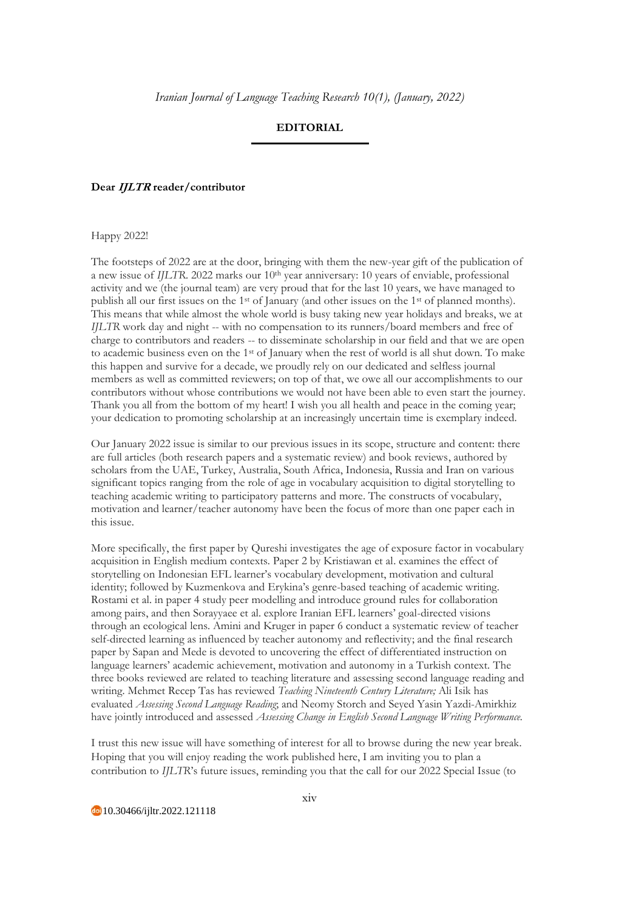## **EDITORIAL**

## **Dear IJLTR reader/contributor**

Happy 2022!

The footsteps of 2022 are at the door, bringing with them the new-year gift of the publication of a new issue of *IJLTR*. 2022 marks our 10th year anniversary: 10 years of enviable, professional activity and we (the journal team) are very proud that for the last 10 years, we have managed to publish all our first issues on the 1st of January (and other issues on the 1st of planned months). This means that while almost the whole world is busy taking new year holidays and breaks, we at *IJLTR* work day and night -- with no compensation to its runners/board members and free of charge to contributors and readers -- to disseminate scholarship in our field and that we are open to academic business even on the 1st of January when the rest of world is all shut down. To make this happen and survive for a decade, we proudly rely on our dedicated and selfless journal members as well as committed reviewers; on top of that, we owe all our accomplishments to our contributors without whose contributions we would not have been able to even start the journey. Thank you all from the bottom of my heart! I wish you all health and peace in the coming year; your dedication to promoting scholarship at an increasingly uncertain time is exemplary indeed.

Our January 2022 issue is similar to our previous issues in its scope, structure and content: there are full articles (both research papers and a systematic review) and book reviews, authored by scholars from the UAE, Turkey, Australia, South Africa, Indonesia, Russia and Iran on various significant topics ranging from the role of age in vocabulary acquisition to digital storytelling to teaching academic writing to participatory patterns and more. The constructs of vocabulary, motivation and learner/teacher autonomy have been the focus of more than one paper each in this issue.

More specifically, the first paper by Qureshi investigates the age of exposure factor in vocabulary acquisition in English medium contexts. Paper 2 by Kristiawan et al. examines the effect of storytelling on Indonesian EFL learner's vocabulary development, motivation and cultural identity; followed by Kuzmenkova and Erykina's genre-based teaching of academic writing. Rostami et al. in paper 4 study peer modelling and introduce ground rules for collaboration among pairs, and then Sorayyaee et al. explore Iranian EFL learners' goal-directed visions through an ecological lens. Amini and Kruger in paper 6 conduct a systematic review of teacher self-directed learning as influenced by teacher autonomy and reflectivity; and the final research paper by Sapan and Mede is devoted to uncovering the effect of differentiated instruction on language learners' academic achievement, motivation and autonomy in a Turkish context. The three books reviewed are related to teaching literature and assessing second language reading and writing. Mehmet Recep Tas has reviewed *Teaching Nineteenth Century Literature;* Ali Isik has evaluated *Assessing Second Language Reading*; and Neomy Storch and Seyed Yasin Yazdi-Amirkhiz have jointly introduced and assessed *Assessing Change in English Second Language Writing Performance.* 

I trust this new issue will have something of interest for all to browse during the new year break. Hoping that you will enjoy reading the work published here, I am inviting you to plan a contribution to *IJLTR*'s future issues, reminding you that the call for our 2022 Special Issue (to

10.30466/ijltr.2022.121118